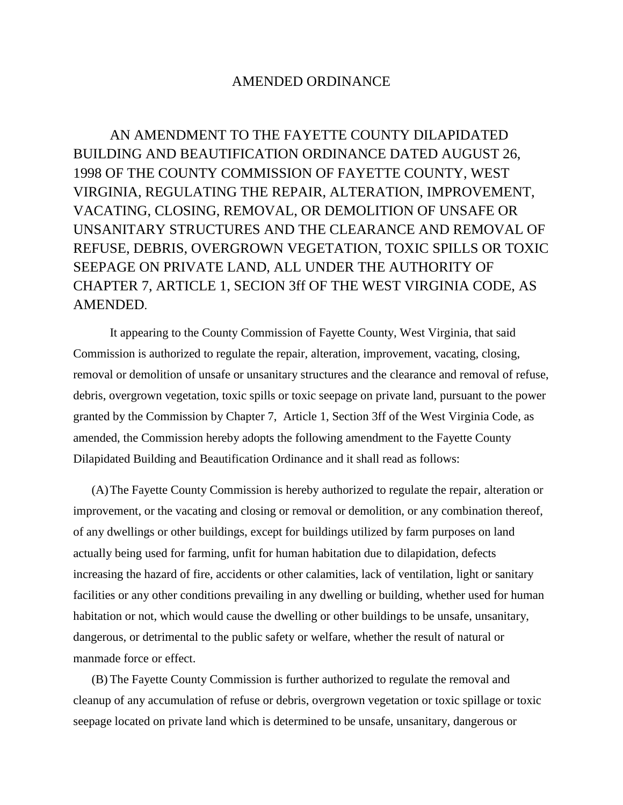## AMENDED ORDINANCE

AN AMENDMENT TO THE FAYETTE COUNTY DILAPIDATED BUILDING AND BEAUTIFICATION ORDINANCE DATED AUGUST 26, 1998 OF THE COUNTY COMMISSION OF FAYETTE COUNTY, WEST VIRGINIA, REGULATING THE REPAIR, ALTERATION, IMPROVEMENT, VACATING, CLOSING, REMOVAL, OR DEMOLITION OF UNSAFE OR UNSANITARY STRUCTURES AND THE CLEARANCE AND REMOVAL OF REFUSE, DEBRIS, OVERGROWN VEGETATION, TOXIC SPILLS OR TOXIC SEEPAGE ON PRIVATE LAND, ALL UNDER THE AUTHORITY OF CHAPTER 7, ARTICLE 1, SECION 3ff OF THE WEST VIRGINIA CODE, AS AMENDED.

It appearing to the County Commission of Fayette County, West Virginia, that said Commission is authorized to regulate the repair, alteration, improvement, vacating, closing, removal or demolition of unsafe or unsanitary structures and the clearance and removal of refuse, debris, overgrown vegetation, toxic spills or toxic seepage on private land, pursuant to the power granted by the Commission by Chapter 7, Article 1, Section 3ff of the West Virginia Code, as amended, the Commission hereby adopts the following amendment to the Fayette County Dilapidated Building and Beautification Ordinance and it shall read as follows:

(A)The Fayette County Commission is hereby authorized to regulate the repair, alteration or improvement, or the vacating and closing or removal or demolition, or any combination thereof, of any dwellings or other buildings, except for buildings utilized by farm purposes on land actually being used for farming, unfit for human habitation due to dilapidation, defects increasing the hazard of fire, accidents or other calamities, lack of ventilation, light or sanitary facilities or any other conditions prevailing in any dwelling or building, whether used for human habitation or not, which would cause the dwelling or other buildings to be unsafe, unsanitary, dangerous, or detrimental to the public safety or welfare, whether the result of natural or manmade force or effect.

(B) The Fayette County Commission is further authorized to regulate the removal and cleanup of any accumulation of refuse or debris, overgrown vegetation or toxic spillage or toxic seepage located on private land which is determined to be unsafe, unsanitary, dangerous or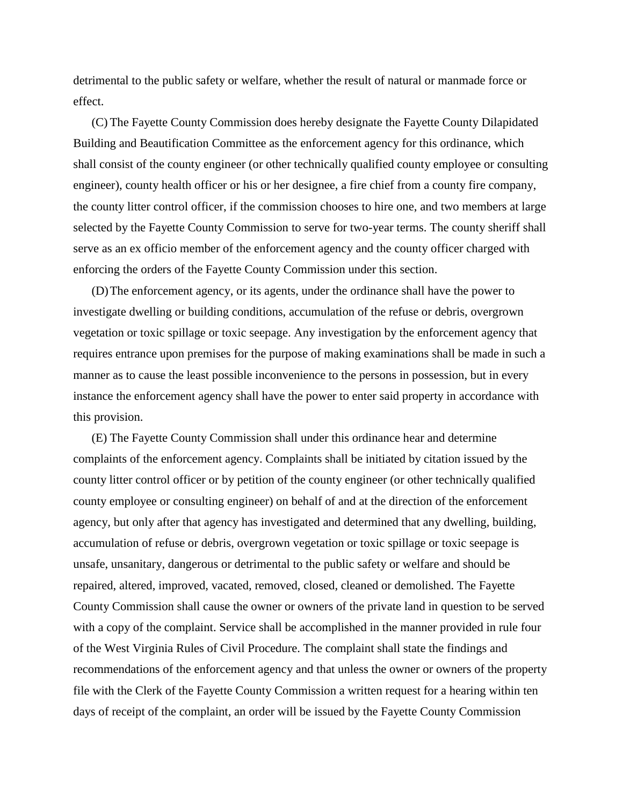detrimental to the public safety or welfare, whether the result of natural or manmade force or effect.

(C) The Fayette County Commission does hereby designate the Fayette County Dilapidated Building and Beautification Committee as the enforcement agency for this ordinance, which shall consist of the county engineer (or other technically qualified county employee or consulting engineer), county health officer or his or her designee, a fire chief from a county fire company, the county litter control officer, if the commission chooses to hire one, and two members at large selected by the Fayette County Commission to serve for two-year terms. The county sheriff shall serve as an ex officio member of the enforcement agency and the county officer charged with enforcing the orders of the Fayette County Commission under this section.

(D)The enforcement agency, or its agents, under the ordinance shall have the power to investigate dwelling or building conditions, accumulation of the refuse or debris, overgrown vegetation or toxic spillage or toxic seepage. Any investigation by the enforcement agency that requires entrance upon premises for the purpose of making examinations shall be made in such a manner as to cause the least possible inconvenience to the persons in possession, but in every instance the enforcement agency shall have the power to enter said property in accordance with this provision.

(E) The Fayette County Commission shall under this ordinance hear and determine complaints of the enforcement agency. Complaints shall be initiated by citation issued by the county litter control officer or by petition of the county engineer (or other technically qualified county employee or consulting engineer) on behalf of and at the direction of the enforcement agency, but only after that agency has investigated and determined that any dwelling, building, accumulation of refuse or debris, overgrown vegetation or toxic spillage or toxic seepage is unsafe, unsanitary, dangerous or detrimental to the public safety or welfare and should be repaired, altered, improved, vacated, removed, closed, cleaned or demolished. The Fayette County Commission shall cause the owner or owners of the private land in question to be served with a copy of the complaint. Service shall be accomplished in the manner provided in rule four of the West Virginia Rules of Civil Procedure. The complaint shall state the findings and recommendations of the enforcement agency and that unless the owner or owners of the property file with the Clerk of the Fayette County Commission a written request for a hearing within ten days of receipt of the complaint, an order will be issued by the Fayette County Commission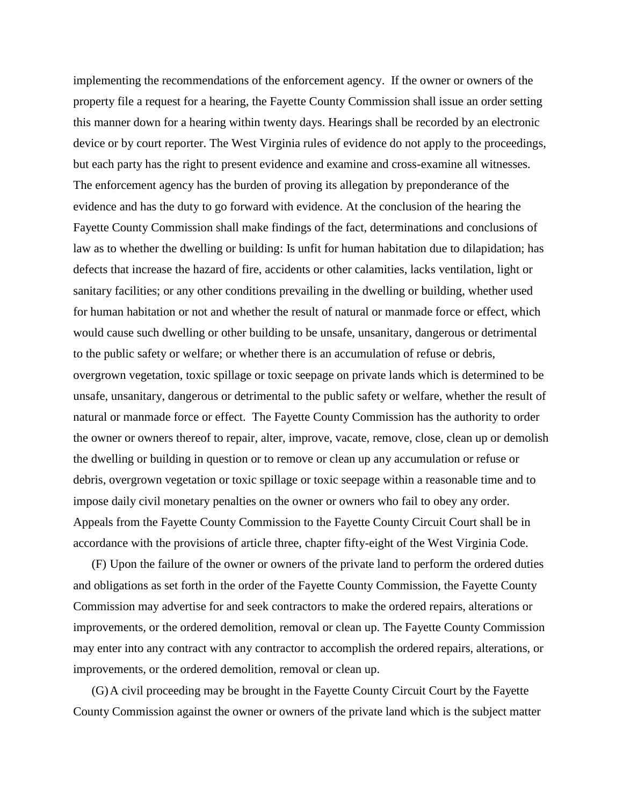implementing the recommendations of the enforcement agency. If the owner or owners of the property file a request for a hearing, the Fayette County Commission shall issue an order setting this manner down for a hearing within twenty days. Hearings shall be recorded by an electronic device or by court reporter. The West Virginia rules of evidence do not apply to the proceedings, but each party has the right to present evidence and examine and cross-examine all witnesses. The enforcement agency has the burden of proving its allegation by preponderance of the evidence and has the duty to go forward with evidence. At the conclusion of the hearing the Fayette County Commission shall make findings of the fact, determinations and conclusions of law as to whether the dwelling or building: Is unfit for human habitation due to dilapidation; has defects that increase the hazard of fire, accidents or other calamities, lacks ventilation, light or sanitary facilities; or any other conditions prevailing in the dwelling or building, whether used for human habitation or not and whether the result of natural or manmade force or effect, which would cause such dwelling or other building to be unsafe, unsanitary, dangerous or detrimental to the public safety or welfare; or whether there is an accumulation of refuse or debris, overgrown vegetation, toxic spillage or toxic seepage on private lands which is determined to be unsafe, unsanitary, dangerous or detrimental to the public safety or welfare, whether the result of natural or manmade force or effect. The Fayette County Commission has the authority to order the owner or owners thereof to repair, alter, improve, vacate, remove, close, clean up or demolish the dwelling or building in question or to remove or clean up any accumulation or refuse or debris, overgrown vegetation or toxic spillage or toxic seepage within a reasonable time and to impose daily civil monetary penalties on the owner or owners who fail to obey any order. Appeals from the Fayette County Commission to the Fayette County Circuit Court shall be in accordance with the provisions of article three, chapter fifty-eight of the West Virginia Code.

(F) Upon the failure of the owner or owners of the private land to perform the ordered duties and obligations as set forth in the order of the Fayette County Commission, the Fayette County Commission may advertise for and seek contractors to make the ordered repairs, alterations or improvements, or the ordered demolition, removal or clean up. The Fayette County Commission may enter into any contract with any contractor to accomplish the ordered repairs, alterations, or improvements, or the ordered demolition, removal or clean up.

(G)A civil proceeding may be brought in the Fayette County Circuit Court by the Fayette County Commission against the owner or owners of the private land which is the subject matter